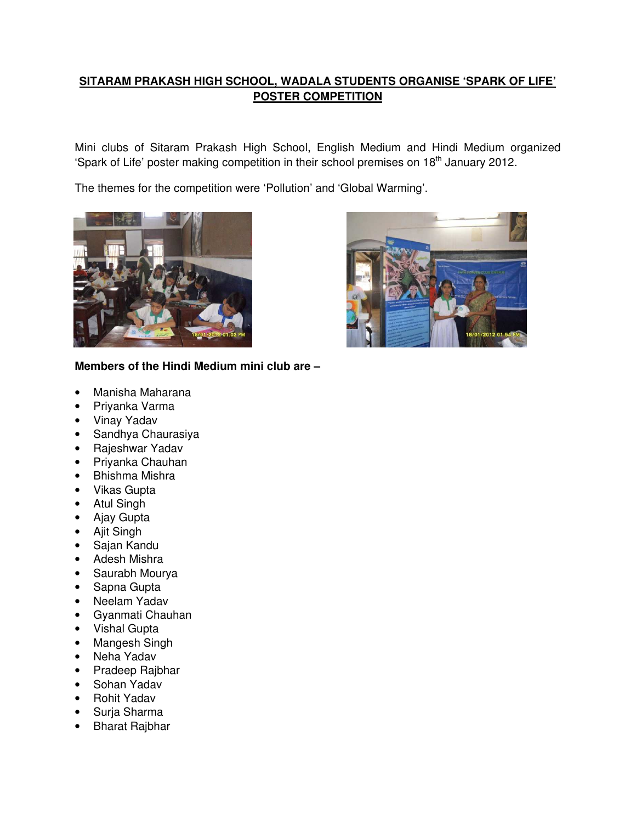## **SITARAM PRAKASH HIGH SCHOOL, WADALA STUDENTS ORGANISE 'SPARK OF LIFE' POSTER COMPETITION**

Mini clubs of Sitaram Prakash High School, English Medium and Hindi Medium organized 'Spark of Life' poster making competition in their school premises on 18<sup>th</sup> January 2012.

The themes for the competition were 'Pollution' and 'Global Warming'.



## **Members of the Hindi Medium mini club are –**

- Manisha Maharana
- Priyanka Varma
- Vinay Yadav
- Sandhya Chaurasiya
- Rajeshwar Yadav
- Priyanka Chauhan
- Bhishma Mishra
- Vikas Gupta
- Atul Singh
- Ajay Gupta
- Ajit Singh
- Sajan Kandu
- Adesh Mishra
- Saurabh Mourya
- Sapna Gupta
- Neelam Yadav
- Gyanmati Chauhan
- Vishal Gupta
- Mangesh Singh
- Neha Yadav
- Pradeep Rajbhar
- Sohan Yadav
- Rohit Yadav
- Surja Sharma
- Bharat Rajbhar

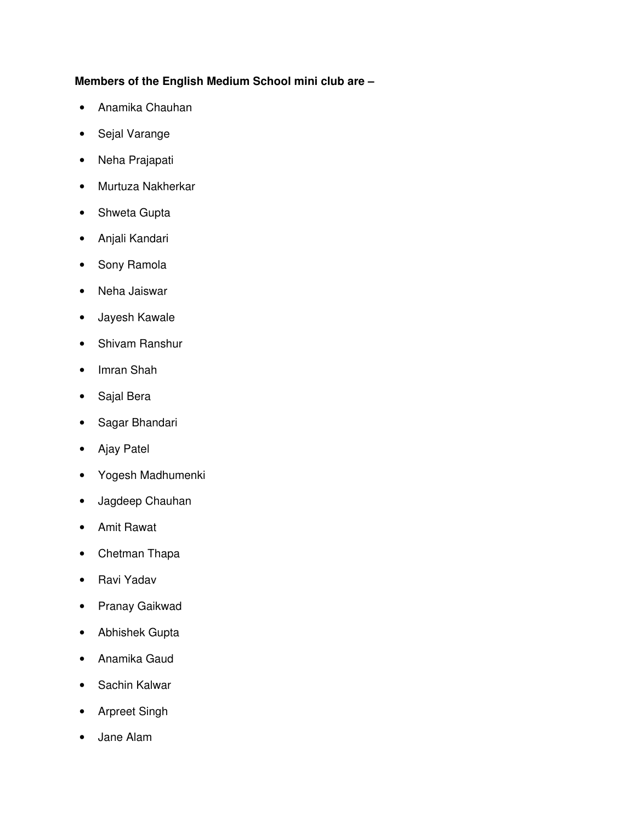## **Members of the English Medium School mini club are –**

- Anamika Chauhan
- Sejal Varange
- Neha Prajapati
- Murtuza Nakherkar
- Shweta Gupta
- Anjali Kandari
- Sony Ramola
- Neha Jaiswar
- Jayesh Kawale
- Shivam Ranshur
- Imran Shah
- Sajal Bera
- Sagar Bhandari
- Ajay Patel
- Yogesh Madhumenki
- Jagdeep Chauhan
- Amit Rawat
- Chetman Thapa
- Ravi Yadav
- Pranay Gaikwad
- Abhishek Gupta
- Anamika Gaud
- Sachin Kalwar
- Arpreet Singh
- Jane Alam